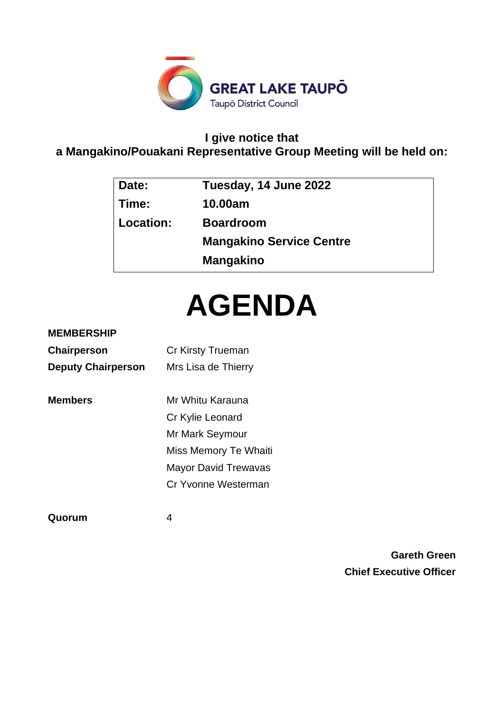

# **I give notice that**

# **a Mangakino/Pouakani Representative Group Meeting will be held on:**

| Date:     | Tuesday, 14 June 2022           |
|-----------|---------------------------------|
| Time:     | 10.00am                         |
| Location: | <b>Boardroom</b>                |
|           | <b>Mangakino Service Centre</b> |
|           | <b>Mangakino</b>                |
|           |                                 |

# **AGENDA**

# **MEMBERSHIP**

| <b>Chairperson</b>        | Cr Kirsty Trueman           |
|---------------------------|-----------------------------|
| <b>Deputy Chairperson</b> | Mrs Lisa de Thierry         |
| <b>Members</b>            | Mr Whitu Karauna            |
|                           | Cr Kylie Leonard            |
|                           | Mr Mark Seymour             |
|                           | Miss Memory Te Whaiti       |
|                           | <b>Mayor David Trewavas</b> |
|                           | Cr Yvonne Westerman         |
|                           |                             |

**Quorum** 4

**Gareth Green Chief Executive Officer**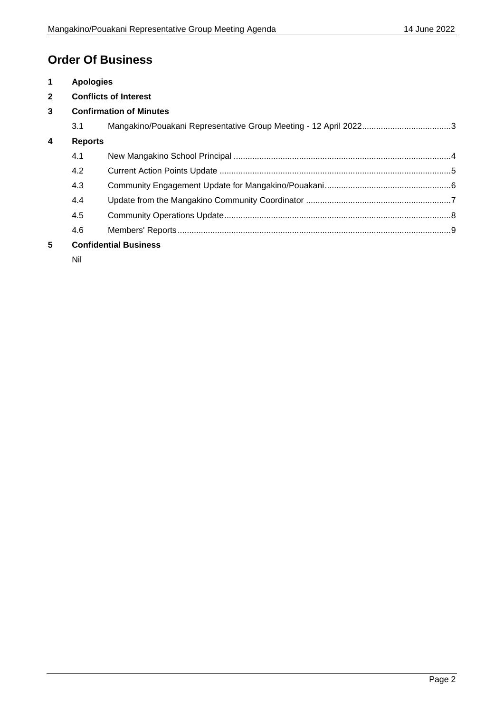# **Order Of Business**

| $\mathbf 1$      | <b>Apologies</b>             |                                |  |  |
|------------------|------------------------------|--------------------------------|--|--|
| $\mathbf{2}$     | <b>Conflicts of Interest</b> |                                |  |  |
| $\mathbf{3}$     |                              | <b>Confirmation of Minutes</b> |  |  |
|                  | 3.1                          |                                |  |  |
| $\boldsymbol{4}$ | <b>Reports</b>               |                                |  |  |
|                  | 4.1                          |                                |  |  |
|                  | 4.2                          |                                |  |  |
|                  | 4.3                          |                                |  |  |
|                  | 4.4                          |                                |  |  |
|                  | 4.5                          |                                |  |  |
|                  | 4.6                          |                                |  |  |
| 5                |                              | <b>Confidential Business</b>   |  |  |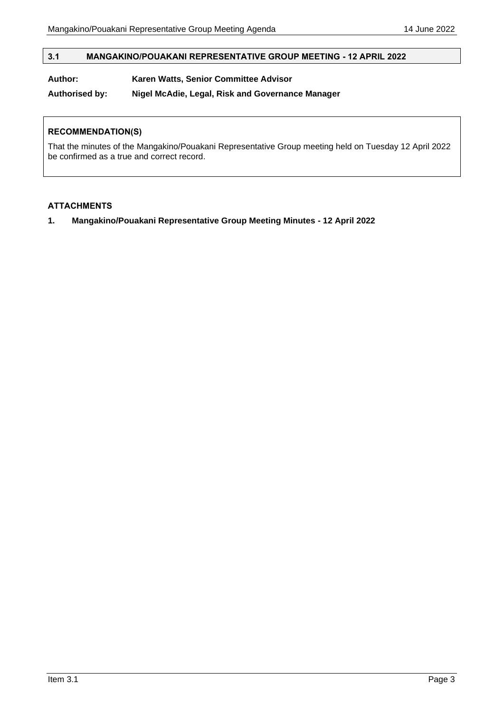#### <span id="page-2-0"></span>**3.1 MANGAKINO/POUAKANI REPRESENTATIVE GROUP MEETING - 12 APRIL 2022**

# **Author: Karen Watts, Senior Committee Advisor**

**Authorised by: Nigel McAdie, Legal, Risk and Governance Manager**

#### **RECOMMENDATION(S)**

That the minutes of the Mangakino/Pouakani Representative Group meeting held on Tuesday 12 April 2022 be confirmed as a true and correct record.

#### **ATTACHMENTS**

**1. Mangakino/Pouakani Representative Group Meeting Minutes - 12 April 2022**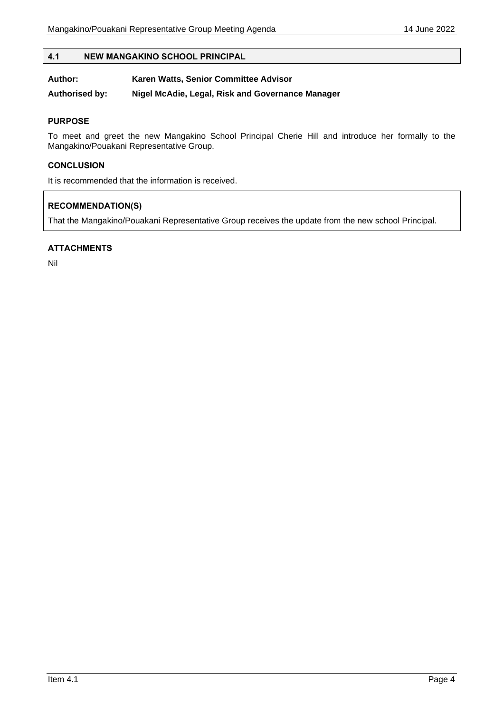#### <span id="page-3-0"></span>**4.1 NEW MANGAKINO SCHOOL PRINCIPAL**

| Author: | Karen Watts, Senior Committee Advisor |
|---------|---------------------------------------|
|---------|---------------------------------------|

**Authorised by: Nigel McAdie, Legal, Risk and Governance Manager**

#### **PURPOSE**

To meet and greet the new Mangakino School Principal Cherie Hill and introduce her formally to the Mangakino/Pouakani Representative Group.

#### **CONCLUSION**

It is recommended that the information is received.

# **RECOMMENDATION(S)**

That the Mangakino/Pouakani Representative Group receives the update from the new school Principal.

#### **ATTACHMENTS**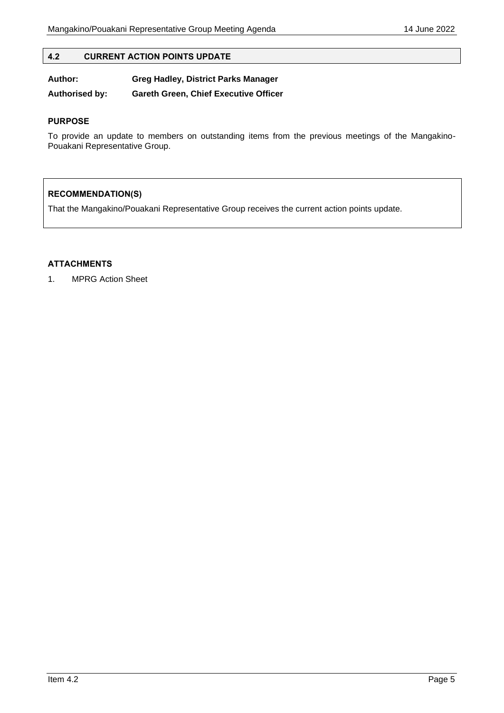<span id="page-4-0"></span>

| <b>CURRENT ACTION POINTS UPDATE</b><br>4.2 |
|--------------------------------------------|
|--------------------------------------------|

**Author: Greg Hadley, District Parks Manager Authorised by: Gareth Green, Chief Executive Officer**

#### **PURPOSE**

To provide an update to members on outstanding items from the previous meetings of the Mangakino-Pouakani Representative Group.

# **RECOMMENDATION(S)**

That the Mangakino/Pouakani Representative Group receives the current action points update.

# **ATTACHMENTS**

1. MPRG Action Sheet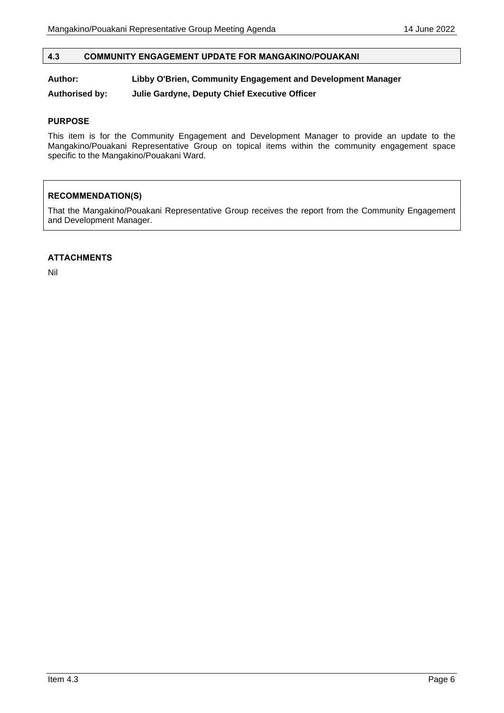# <span id="page-5-0"></span>**4.3 COMMUNITY ENGAGEMENT UPDATE FOR MANGAKINO/POUAKANI**

## **Author: Libby O'Brien, Community Engagement and Development Manager**

**Authorised by: Julie Gardyne, Deputy Chief Executive Officer**

#### **PURPOSE**

This item is for the Community Engagement and Development Manager to provide an update to the Mangakino/Pouakani Representative Group on topical items within the community engagement space specific to the Mangakino/Pouakani Ward.

#### **RECOMMENDATION(S)**

That the Mangakino/Pouakani Representative Group receives the report from the Community Engagement and Development Manager.

#### **ATTACHMENTS**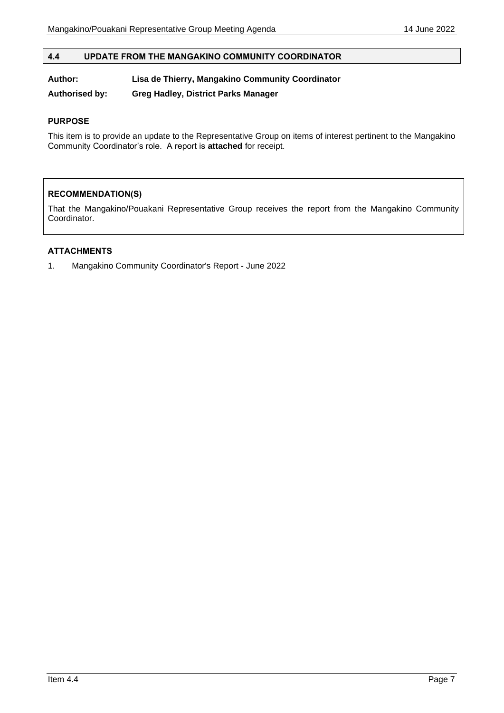# <span id="page-6-0"></span>**4.4 UPDATE FROM THE MANGAKINO COMMUNITY COORDINATOR**

#### **Author: Lisa de Thierry, Mangakino Community Coordinator**

**Authorised by: Greg Hadley, District Parks Manager**

#### **PURPOSE**

This item is to provide an update to the Representative Group on items of interest pertinent to the Mangakino Community Coordinator's role. A report is **attached** for receipt.

#### **RECOMMENDATION(S)**

That the Mangakino/Pouakani Representative Group receives the report from the Mangakino Community Coordinator.

# **ATTACHMENTS**

1. Mangakino Community Coordinator's Report - June 2022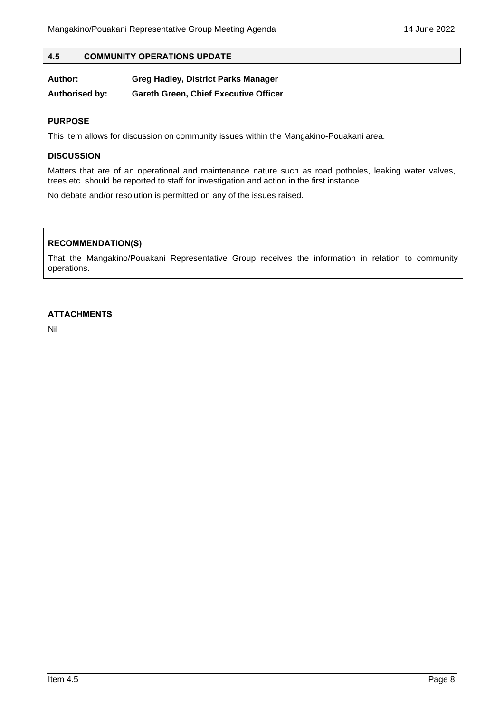#### <span id="page-7-0"></span>**4.5 COMMUNITY OPERATIONS UPDATE**

| Author:               | <b>Greg Hadley, District Parks Manager</b>   |
|-----------------------|----------------------------------------------|
| <b>Authorised by:</b> | <b>Gareth Green, Chief Executive Officer</b> |

#### **PURPOSE**

This item allows for discussion on community issues within the Mangakino-Pouakani area.

#### **DISCUSSION**

Matters that are of an operational and maintenance nature such as road potholes, leaking water valves, trees etc. should be reported to staff for investigation and action in the first instance.

No debate and/or resolution is permitted on any of the issues raised.

#### **RECOMMENDATION(S)**

That the Mangakino/Pouakani Representative Group receives the information in relation to community operations.

#### **ATTACHMENTS**